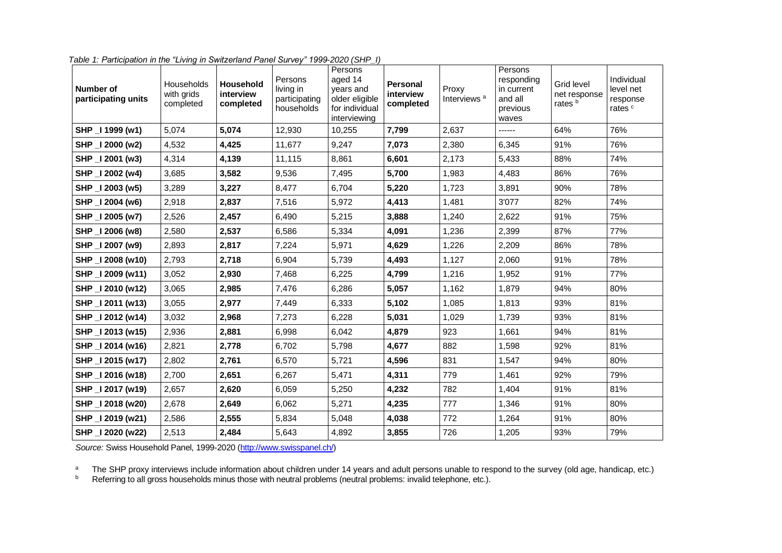| Number of<br>participating units | Households<br>with grids<br>completed | <b>Household</b><br>interview<br>completed | Persons<br>living in<br>participating<br>households | Persons<br>aged 14<br>years and<br>older eligible<br>for individual<br>interviewing | Personal<br>interview<br>completed | Proxy<br>Interviews <sup>a</sup> | Persons<br>responding<br>in current<br>and all<br>previous<br>waves | Grid level<br>net response<br>rates <sup>b</sup> | Individual<br>level net<br>response<br>rates <sup>c</sup> |
|----------------------------------|---------------------------------------|--------------------------------------------|-----------------------------------------------------|-------------------------------------------------------------------------------------|------------------------------------|----------------------------------|---------------------------------------------------------------------|--------------------------------------------------|-----------------------------------------------------------|
| SHP _I 1999 (w1)                 | 5,074                                 | 5,074                                      | 12,930                                              | 10,255                                                                              | 7,799                              | 2,637                            | ------                                                              | 64%                                              | 76%                                                       |
| SHP _I 2000 (w2)                 | 4,532                                 | 4,425                                      | 11,677                                              | 9,247                                                                               | 7,073                              | 2,380                            | 6,345                                                               | 91%                                              | 76%                                                       |
| SHP _I 2001 (w3)                 | 4,314                                 | 4,139                                      | 11,115                                              | 8,861                                                                               | 6,601                              | 2,173                            | 5,433                                                               | 88%                                              | 74%                                                       |
| SHP _I 2002 (w4)                 | 3,685                                 | 3,582                                      | 9,536                                               | 7,495                                                                               | 5,700                              | 1,983                            | 4,483                                                               | 86%                                              | 76%                                                       |
| SHP _I 2003 (w5)                 | 3,289                                 | 3,227                                      | 8,477                                               | 6,704                                                                               | 5,220                              | 1,723                            | 3,891                                                               | 90%                                              | 78%                                                       |
| SHP _I 2004 (w6)                 | 2,918                                 | 2,837                                      | 7,516                                               | 5,972                                                                               | 4,413                              | 1,481                            | 3'077                                                               | 82%                                              | 74%                                                       |
| SHP _I 2005 (w7)                 | 2,526                                 | 2,457                                      | 6,490                                               | 5,215                                                                               | 3,888                              | 1,240                            | 2,622                                                               | 91%                                              | 75%                                                       |
| SHP _I 2006 (w8)                 | 2,580                                 | 2,537                                      | 6,586                                               | 5,334                                                                               | 4,091                              | 1,236                            | 2,399                                                               | 87%                                              | 77%                                                       |
| SHP _I 2007 (w9)                 | 2,893                                 | 2,817                                      | 7,224                                               | 5,971                                                                               | 4,629                              | 1,226                            | 2,209                                                               | 86%                                              | 78%                                                       |
| SHP _I 2008 (w10)                | 2,793                                 | 2,718                                      | 6,904                                               | 5,739                                                                               | 4,493                              | 1,127                            | 2,060                                                               | 91%                                              | 78%                                                       |
| SHP _I 2009 (w11)                | 3,052                                 | 2,930                                      | 7,468                                               | 6,225                                                                               | 4,799                              | 1,216                            | 1,952                                                               | 91%                                              | 77%                                                       |
| SHP _I 2010 (w12)                | 3,065                                 | 2,985                                      | 7,476                                               | 6,286                                                                               | 5,057                              | 1,162                            | 1,879                                                               | 94%                                              | 80%                                                       |
| SHP _I 2011 (w13)                | 3,055                                 | 2,977                                      | 7,449                                               | 6,333                                                                               | 5,102                              | 1,085                            | 1,813                                                               | 93%                                              | 81%                                                       |
| SHP _I 2012 (w14)                | 3,032                                 | 2,968                                      | 7,273                                               | 6,228                                                                               | 5,031                              | 1,029                            | 1,739                                                               | 93%                                              | 81%                                                       |
| SHP _I 2013 (w15)                | 2,936                                 | 2,881                                      | 6,998                                               | 6,042                                                                               | 4,879                              | 923                              | 1,661                                                               | 94%                                              | 81%                                                       |
| SHP _I 2014 (w16)                | 2,821                                 | 2,778                                      | 6,702                                               | 5,798                                                                               | 4,677                              | 882                              | 1,598                                                               | 92%                                              | 81%                                                       |
| SHP _I 2015 (w17)                | 2,802                                 | 2,761                                      | 6,570                                               | 5,721                                                                               | 4,596                              | 831                              | 1,547                                                               | 94%                                              | 80%                                                       |
| SHP _I 2016 (w18)                | 2,700                                 | 2,651                                      | 6,267                                               | 5,471                                                                               | 4,311                              | 779                              | 1,461                                                               | 92%                                              | 79%                                                       |
| SHP _I 2017 (w19)                | 2,657                                 | 2,620                                      | 6,059                                               | 5,250                                                                               | 4,232                              | 782                              | 1,404                                                               | 91%                                              | 81%                                                       |
| SHP _I 2018 (w20)                | 2,678                                 | 2,649                                      | 6,062                                               | 5,271                                                                               | 4,235                              | 777                              | 1,346                                                               | 91%                                              | 80%                                                       |
| SHP _I 2019 (w21)                | 2,586                                 | 2,555                                      | 5,834                                               | 5,048                                                                               | 4,038                              | 772                              | 1,264                                                               | 91%                                              | 80%                                                       |
| SHP _I 2020 (w22)                | 2,513                                 | 2,484                                      | 5,643                                               | 4,892                                                                               | 3,855                              | 726                              | 1,205                                                               | 93%                                              | 79%                                                       |

*Table 1: Participation in the "Living in Switzerland Panel Survey" 1999-2020 (SHP\_I)*

*Source:* Swiss Household Panel, 1999-2020 [\(http://www.swisspanel.ch/\)](http://www.swisspanel.ch/)

<sup>a</sup> The SHP proxy interviews include information about children under 14 years and adult persons unable to respond to the survey (old age, handicap, etc.)

 $b$  Referring to all gross households minus those with neutral problems (neutral problems: invalid telephone, etc.).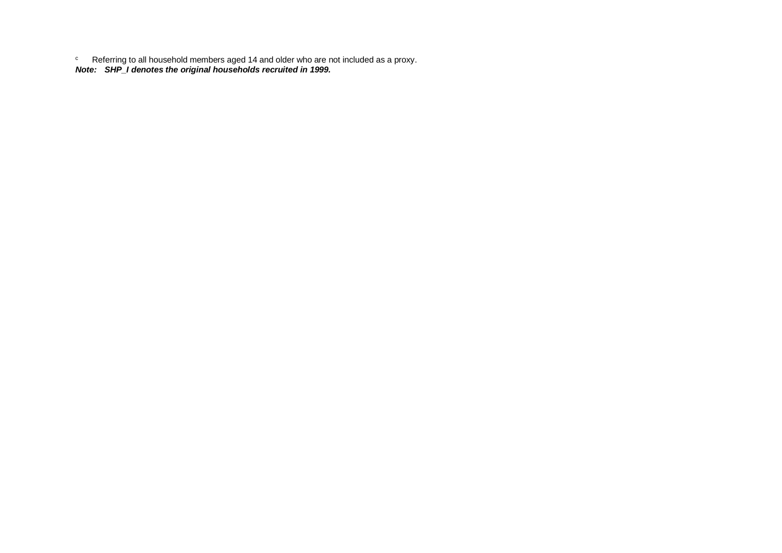$\textdegree$  Referring to all household members aged 14 and older who are not included as a proxy. *Note: SHP\_I denotes the original households recruited in 1999.*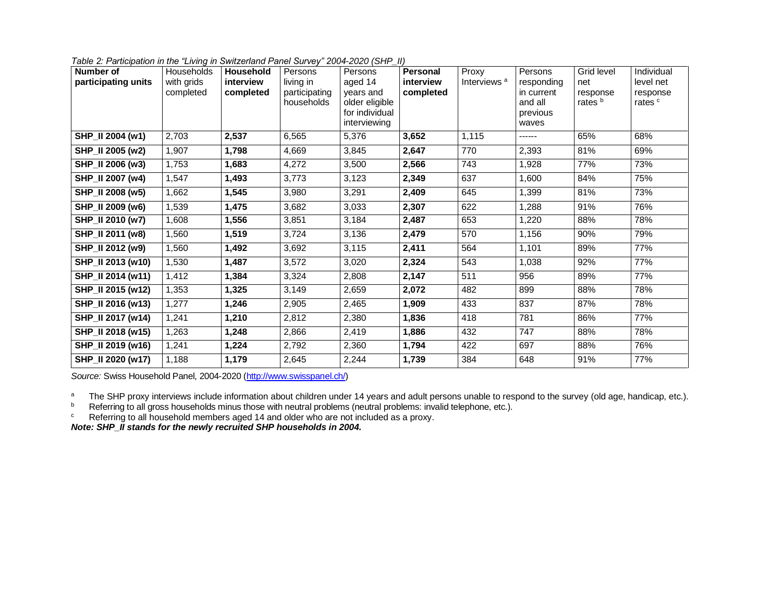|  |  | Table 2: Participation in the "Living in Switzerland Panel Survey" 2004-2020 (SHP_II) |  |
|--|--|---------------------------------------------------------------------------------------|--|
|  |  |                                                                                       |  |

| Number of<br>participating units | Households<br>with grids<br>completed | Household<br>interview<br>completed | Persons<br>living in<br>participating<br>households | Persons<br>aged 14<br>years and<br>older eligible<br>for individual<br>interviewing | Personal<br>interview<br>completed | Proxy<br>Interviews <sup>a</sup> | Persons<br>responding<br>in current<br>and all<br>previous<br>waves | Grid level<br>net<br>response<br>rates <sup>b</sup> | Individual<br>level net<br>response<br>rates <sup>c</sup> |
|----------------------------------|---------------------------------------|-------------------------------------|-----------------------------------------------------|-------------------------------------------------------------------------------------|------------------------------------|----------------------------------|---------------------------------------------------------------------|-----------------------------------------------------|-----------------------------------------------------------|
| SHP_II 2004 (w1)                 | 2,703                                 | 2,537                               | 6,565                                               | 5,376                                                                               | 3,652                              | 1,115                            | ------                                                              | 65%                                                 | 68%                                                       |
| SHP_II 2005 (w2)                 | 1,907                                 | 1,798                               | 4,669                                               | 3,845                                                                               | 2,647                              | 770                              | 2,393                                                               | 81%                                                 | 69%                                                       |
| SHP_II 2006 (w3)                 | 1,753                                 | 1,683                               | 4,272                                               | 3,500                                                                               | 2,566                              | 743                              | 1,928                                                               | 77%                                                 | 73%                                                       |
| SHP_II 2007 (w4)                 | 1,547                                 | 1,493                               | 3,773                                               | 3,123                                                                               | 2,349                              | 637                              | 1,600                                                               | 84%                                                 | 75%                                                       |
| SHP_II 2008 (w5)                 | 1,662                                 | 1,545                               | 3,980                                               | 3,291                                                                               | 2,409                              | 645                              | 1,399                                                               | 81%                                                 | 73%                                                       |
| SHP_II 2009 (w6)                 | 1,539                                 | 1,475                               | 3,682                                               | 3,033                                                                               | 2,307                              | 622                              | 1,288                                                               | 91%                                                 | 76%                                                       |
| SHP_II 2010 (w7)                 | 1,608                                 | 1,556                               | 3,851                                               | 3,184                                                                               | 2,487                              | 653                              | 1,220                                                               | 88%                                                 | 78%                                                       |
| SHP_II 2011 (w8)                 | 1,560                                 | 1,519                               | 3,724                                               | 3,136                                                                               | 2,479                              | 570                              | 1,156                                                               | 90%                                                 | 79%                                                       |
| SHP_II 2012 (w9)                 | 1,560                                 | 1,492                               | 3,692                                               | 3,115                                                                               | 2,411                              | 564                              | 1,101                                                               | 89%                                                 | 77%                                                       |
| SHP_II 2013 (w10)                | 1,530                                 | 1,487                               | 3,572                                               | 3,020                                                                               | 2,324                              | 543                              | 1.038                                                               | 92%                                                 | 77%                                                       |
| SHP_II 2014 (w11)                | 1,412                                 | 1,384                               | 3,324                                               | 2,808                                                                               | 2,147                              | 511                              | 956                                                                 | 89%                                                 | 77%                                                       |
| SHP_II 2015 (w12)                | 1,353                                 | 1,325                               | 3,149                                               | 2,659                                                                               | 2,072                              | 482                              | 899                                                                 | 88%                                                 | 78%                                                       |
| SHP_II 2016 (w13)                | 1,277                                 | 1,246                               | 2,905                                               | 2,465                                                                               | 1,909                              | 433                              | 837                                                                 | 87%                                                 | 78%                                                       |
| SHP_II 2017 (w14)                | 1,241                                 | 1,210                               | 2,812                                               | 2,380                                                                               | 1,836                              | 418                              | 781                                                                 | 86%                                                 | 77%                                                       |
| SHP_II 2018 (w15)                | 1,263                                 | 1,248                               | 2,866                                               | 2,419                                                                               | 1,886                              | 432                              | 747                                                                 | 88%                                                 | 78%                                                       |
| SHP_II 2019 (w16)                | 1,241                                 | 1,224                               | 2,792                                               | 2,360                                                                               | 1,794                              | 422                              | 697                                                                 | 88%                                                 | 76%                                                       |
| SHP_II 2020 (w17)                | 1,188                                 | 1,179                               | 2,645                                               | 2,244                                                                               | 1,739                              | 384                              | 648                                                                 | 91%                                                 | 77%                                                       |

*Source:* Swiss Household Panel, 2004-2020 [\(http://www.swisspanel.ch/\)](http://www.swisspanel.ch/)

<sup>a</sup> The SHP proxy interviews include information about children under 14 years and adult persons unable to respond to the survey (old age, handicap, etc.).

 $b$  Referring to all gross households minus those with neutral problems (neutral problems: invalid telephone, etc.).

 $\textdegree$  Referring to all household members aged 14 and older who are not included as a proxy.

*Note: SHP\_II stands for the newly recruited SHP households in 2004.*